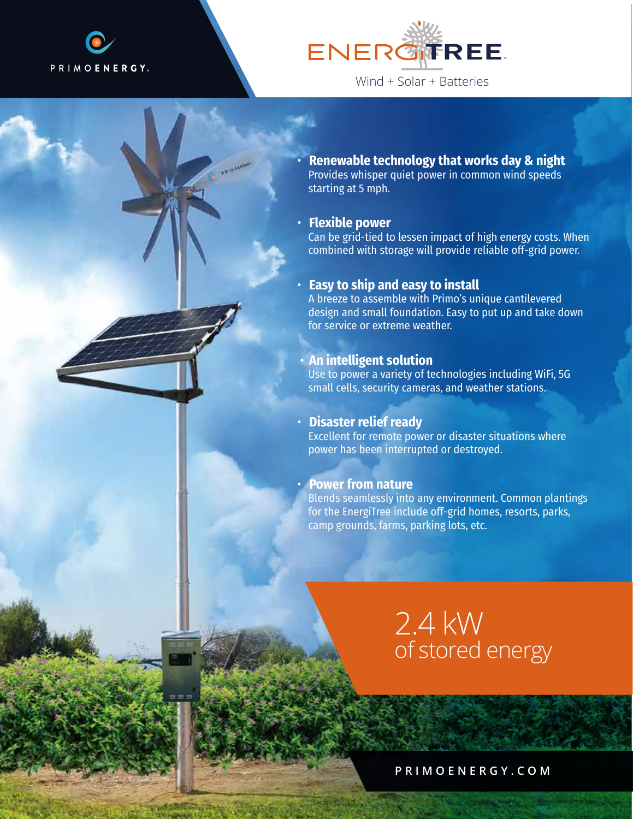



• **Renewable technology that works day & night** Provides whisper quiet power in common wind speeds starting at 5 mph.

#### • **Flexible power**

Can be grid-tied to lessen impact of high energy costs. When combined with storage will provide reliable off-grid power.

#### • **Easy to ship and easy to install**

A breeze to assemble with Primo's unique cantilevered design and small foundation. Easy to put up and take down for service or extreme weather.

#### • **An intelligent solution**

Use to power a variety of technologies including WiFi, 5G small cells, security cameras, and weather stations.

## • **Disaster relief ready**

Excellent for remote power or disaster situations where power has been interrupted or destroyed.

## • **Power from nature**

Blends seamlessly into any environment. Common plantings for the EnergiTree include off-grid homes, resorts, parks, camp grounds, farms, parking lots, etc.

## 2.4 kW of stored energy

**PRIMOENERGY.COM**